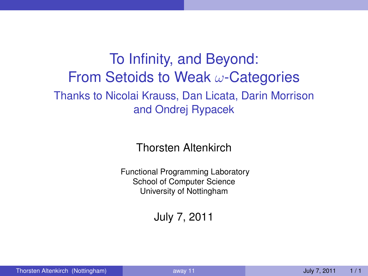## To Infinity, and Beyond: From Setoids to Weak  $\omega$ -Categories Thanks to Nicolai Krauss, Dan Licata, Darin Morrison and Ondrej Rypacek

Thorsten Altenkirch

Functional Programming Laboratory School of Computer Science University of Nottingham

<span id="page-0-0"></span>July 7, 2011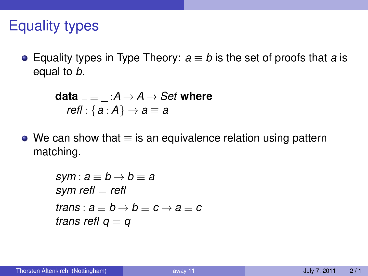# Equality types

Equality types in Type Theory: *a* ≡ *b* is the set of proofs that *a* is equal to *b*.

**data** 
$$
=\equiv
$$
  $\therefore$   $A \rightarrow A \rightarrow Set$  where *refl* :  $\{a : A\} \rightarrow a \equiv a$ 

 $\bullet$  We can show that  $\equiv$  is an equivalence relation using pattern matching.

$$
sym : a \equiv b \rightarrow b \equiv a
$$
  
sym refl = refl  
trans : a  $\equiv b \rightarrow b \equiv c \rightarrow a \equiv c$   
trans refl q = q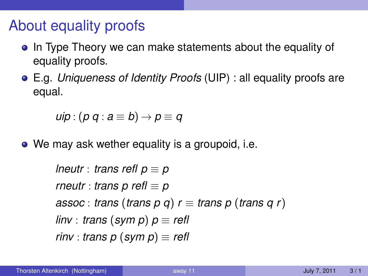# About equality proofs

- In Type Theory we can make statements about the equality of equality proofs.
- E.g. *Uniqueness of Identity Proofs* (UIP) : all equality proofs are equal.

$$
uip:(p\ q: a\equiv b)\rightarrow p\equiv q
$$

• We may ask wether equality is a groupoid, i.e.

*lneutr* : *trans refl*  $p \equiv p$ *rneutr* : *trans p refl* ≡ *p assoc* : *trans* (*trans*  $p$   $q$ )  $r \equiv$  *trans*  $p$  (*trans*  $q$   $r$ ) *linv* : *trans* (*sym p*) *p* ≡ *refl rinv* : *trans*  $p$  (*sym*  $p$ )  $\equiv$  *refl*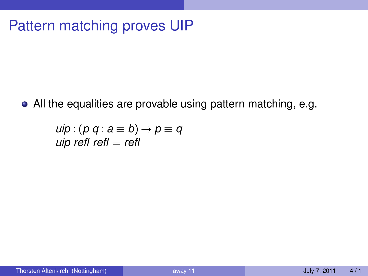# Pattern matching proves UIP

All the equalities are provable using pattern matching, e.g.

$$
uip : (p q : a \equiv b) \rightarrow p \equiv q
$$
  
uip refl refl = refl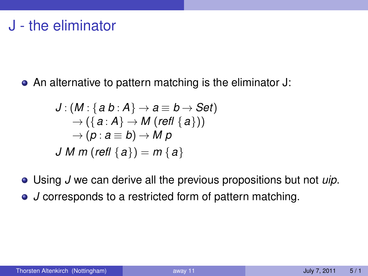• An alternative to pattern matching is the eliminator J:

$$
J:(M:\{a\,b:A\}\rightarrow a\equiv b\rightarrow Set)\\ \rightarrow (\{a:A\}\rightarrow M (refl \{a\}))\\ \rightarrow (p:a\equiv b)\rightarrow Mp\\ J\,M\,m (refl \{a\})=m \{a\}
$$

Using *J* we can derive all the previous propositions but not *uip*. *J* corresponds to a restricted form of pattern matching.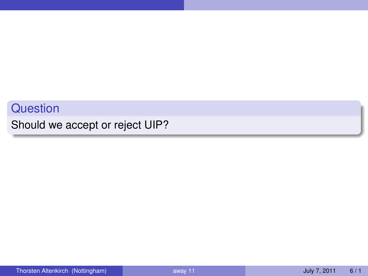#### **Question**

Should we accept or reject UIP?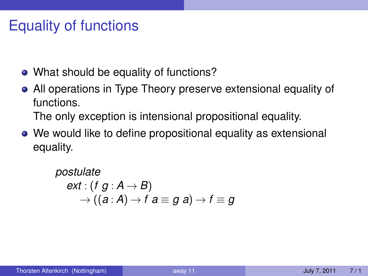# Equality of functions

- What should be equality of functions?
- All operations in Type Theory preserve extensional equality of functions.

The only exception is intensional propositional equality.

We would like to define propositional equality as extensional equality.

> *postulate ext* : (*f g* :  $A \rightarrow B$ )  $\rightarrow$  ((a : A)  $\rightarrow$  f a  $\equiv$  g a)  $\rightarrow$  f  $\equiv$  g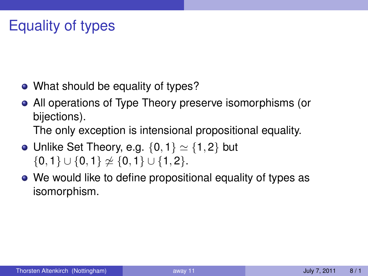# Equality of types

- What should be equality of types?
- All operations of Type Theory preserve isomorphisms (or bijections).

The only exception is intensional propositional equality.

- Unlike Set Theory, e.g.  $\{0,1\} \simeq \{1,2\}$  but  $\{0, 1\} \cup \{0, 1\} \not\cong \{0, 1\} \cup \{1, 2\}.$
- We would like to define propositional equality of types as isomorphism.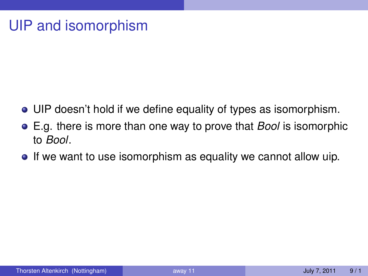# UIP and isomorphism

- UIP doesn't hold if we define equality of types as isomorphism.
- E.g. there is more than one way to prove that *Bool* is isomorphic to *Bool*.
- If we want to use isomorphism as equality we cannot allow uip.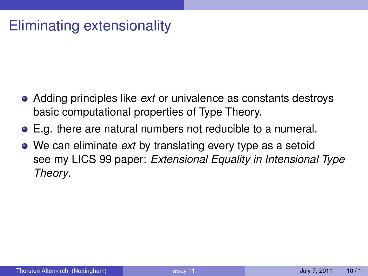# Eliminating extensionality

- Adding principles like *ext* or univalence as constants destroys basic computational properties of Type Theory.
- E.g. there are natural numbers not reducible to a numeral.
- We can eliminate *ext* by translating every type as a setoid see my LICS 99 paper: *Extensional Equality in Intensional Type Theory*.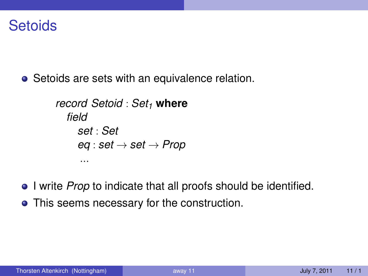### **Setoids**

• Setoids are sets with an equivalence relation.

```
record Setoid : Set1 where
  field
    set : Set
    eq : set → set → Prop
     ...
```
- **I** write *Prop* to indicate that all proofs should be identified.
- This seems necessary for the construction.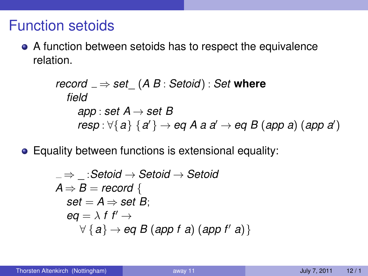## Function setoids

A function between setoids has to respect the equivalence relation.

record 
$$
_{\Rightarrow}
$$
 set<sub>\_{\Rightarrow}</sub> (A B : Setoid) : Set where

\nfield

\napp : set A → set B

\nresp :  $\forall \{a\} \{a'\} \rightarrow \text{eq} A \text{ a } a' \rightarrow \text{eq} B \text{ (app a) (app a')}$ 

Equality between functions is extensional equality:

$$
\begin{aligned}\n &= \Rightarrow \_\cdot : \text{Setoid} \rightarrow \text{Setoid} \rightarrow \text{Setoid} \\
 A \Rightarrow B = \text{record} \{ \\
 & \text{set} = A \Rightarrow \text{set } B; \\
 & \text{eq} = \lambda \text{ f } f' \rightarrow \\
 & \forall \{a\} \rightarrow \text{eq } B \text{ (app f a) (app f' a)}\n \end{aligned}
$$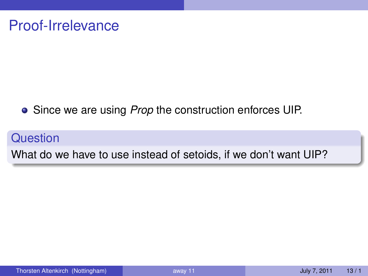Since we are using *Prop* the construction enforces UIP.

**Question** 

What do we have to use instead of setoids, if we don't want UIP?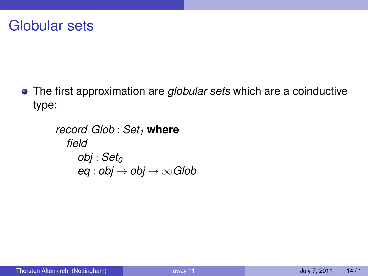### Globular sets

The first approximation are *globular sets* which are a coinductive type:

```
record Glob : Set1 where
   field
      obj : Set0
      eq: obj \rightarrow obj \rightarrow \inftyGlob
```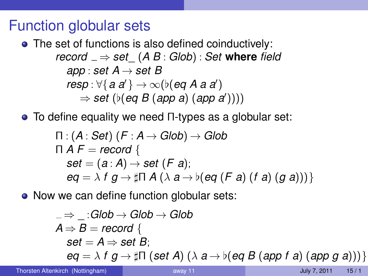## Function globular sets

• The set of functions is also defined coinductively:  $r$ *ecord*  $\Rightarrow$  *set*  $(A B : G | ob) : Set$  **where** *field app* : *set*  $A \rightarrow$  *set*  $B$  $\mathit{resp} : \forall \{a \, a' \} \rightarrow \infty (b(\textit{eq A} \; a \; a'))$  $\Rightarrow$  *set* ( $\nu$ (*eq B* (*app a*) (*app a*'))))

To define equality we need Π-types as a globular set:

$$
\begin{array}{l} \Pi : (A : Set) \ (F : A \rightarrow Global) \rightarrow Global \\ \Pi \ A \ F = record \ \{ \\ set = (a : A) \rightarrow set \ (F \ a); \\ eq = \lambda \ f \ g \rightarrow \ \ \ \Pi \ A \ (\lambda \ a \rightarrow \ \flat \ (eq \ (F \ a) \ (f \ a) \ (g \ a))) \ \} \end{array}
$$

• Now we can define function globular sets:

$$
\begin{aligned}\n& \Rightarrow \_ :Glob \to Glob \to Glob \\
A \Rightarrow B = record \{ \\
set = A \Rightarrow set B; \\
eq = \lambda fg \to \sharp \Pi \ (set A) \ (\lambda a \to b(\text{eq } B (\text{app } f \text{ a}) (\text{app } g \text{ a})))\}\n\end{aligned}
$$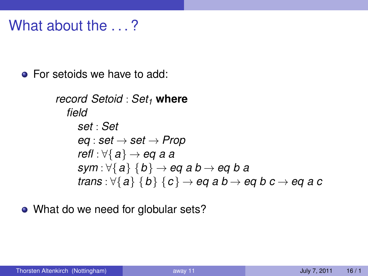## What about the  $\ldots$ ?

**•** For setoids we have to add:

```
record Setoid : Set1 where
   field
      set : Set
      eq : set → set → Prop
      refl : ∀{a} → eq a a
      sym : \forall \{a\} \{b\} \rightarrow eq \{ab \rightarrow eq \{ba\}trans : \forall \{a\} \{b\} \{c\} \rightarrow eq a b \rightarrow eq b c \rightarrow eq a c
```
• What do we need for globular sets?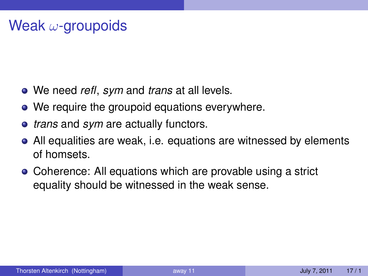- We need *refl*, *sym* and *trans* at all levels.
- We require the groupoid equations everywhere.
- *trans* and *sym* are actually functors.
- All equalities are weak, i.e. equations are witnessed by elements of homsets.
- Coherence: All equations which are provable using a strict equality should be witnessed in the weak sense.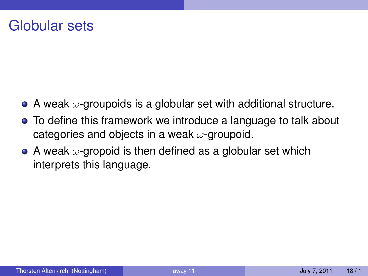## Globular sets

- $\bullet$  A weak  $\omega$ -groupoids is a globular set with additional structure.
- To define this framework we introduce a language to talk about categories and objects in a weak  $\omega$ -groupoid.
- A weak  $\omega$ -gropoid is then defined as a globular set which interprets this language.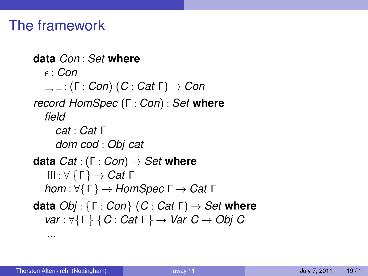## The framework

```
data Con : Set where
   : Con
  , : (Γ : Con) (C : Cat Γ) → Con
record HomSpec (Γ : Con) : Set where
  field
    cat : Cat Γ
    dom cod : Obj cat
data Cat : (Γ : Con) → Set where
  ffl : ∀ {Γ} → Cat Γ
  hom : ∀{Γ} → HomSpec Γ → Cat Γ
data Obj : {Γ : Con} (C : Cat Γ) → Set where
  var : ∀{Γ} {C : Cat Γ} → Var C → Obj C
   ...
```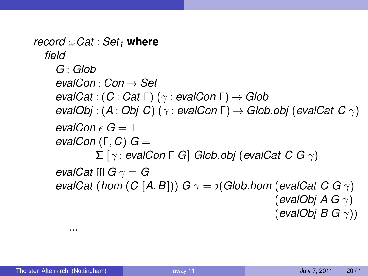*record* ω*Cat* : *Set<sup>1</sup>* **where** *field G* : *Glob evalCon* : *Con* → *Set evalCat* : (*C* : *Cat* Γ) (γ : *evalCon* Γ) → *Glob evalObj* : (*A* : *Obj C*) (γ : *evalCon* Γ) → *Glob*.*obj* (*evalCat C* γ) *evalCon*  $\epsilon$   $G = T$ *evalCon* (Γ, *C*) *G* = Σ [γ : *evalCon* Γ *G*] *Glob*.*obj* (*evalCat C G* γ) *evalCat* ffl  $G \gamma = G$ *evalCat* (*hom* (*C* [*A*, *B*])) *G*  $\gamma = \frac{b}{G}$  *(Glob*.*hom* (*evalCat C G*  $\gamma$ ) (*evalObj A G* γ) (*evalObj B G* γ))

...